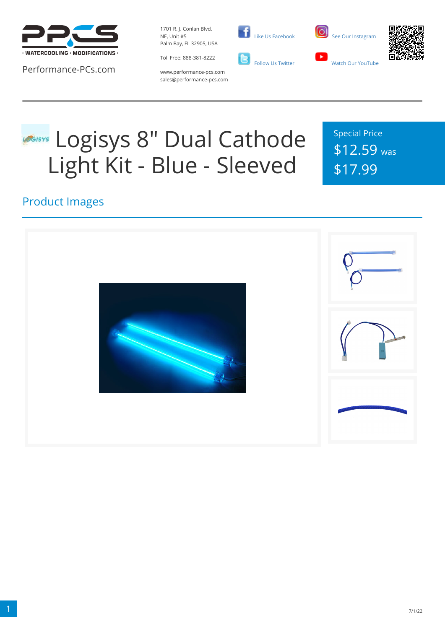

Performance-PCs.com

1701 R. J. Conlan Blvd. NE, Unit #5 Palm Bay, FL 32905, USA



 [Like Us Facebook](https://www.facebook.com/PerformancePCs) **C**<br>Follow Us Twitter





www.performance-pcs.com sales@performance-pcs.com

# **Logisys 8" Dual Cathode** Light Kit - Blue - Sleeved

Special Price \$12.59 was \$17.99

### Product Images

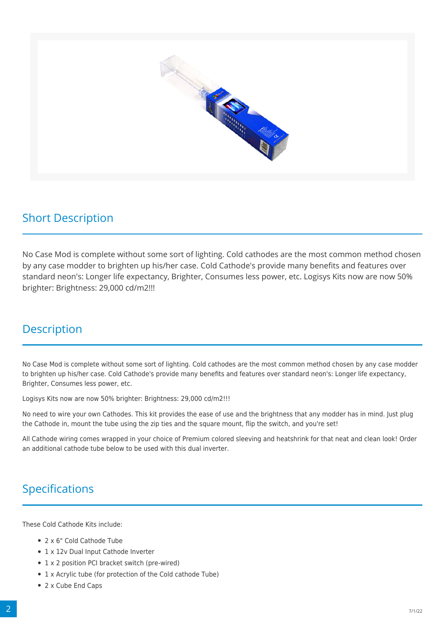

#### Short Description

No Case Mod is complete without some sort of lighting. Cold cathodes are the most common method chosen by any case modder to brighten up his/her case. Cold Cathode's provide many benefits and features over standard neon's: Longer life expectancy, Brighter, Consumes less power, etc. Logisys Kits now are now 50% brighter: Brightness: 29,000 cd/m2!!!

#### **Description**

No Case Mod is complete without some sort of lighting. Cold cathodes are the most common method chosen by any case modder to brighten up his/her case. Cold Cathode's provide many benefits and features over standard neon's: Longer life expectancy, Brighter, Consumes less power, etc.

Logisys Kits now are now 50% brighter: Brightness: 29,000 cd/m2!!!

No need to wire your own Cathodes. This kit provides the ease of use and the brightness that any modder has in mind. Just plug the Cathode in, mount the tube using the zip ties and the square mount, flip the switch, and you're set!

All Cathode wiring comes wrapped in your choice of Premium colored sleeving and heatshrink for that neat and clean look! Order an additional cathode tube below to be used with this dual inverter.

## Specifications

These Cold Cathode Kits include:

- 2 x 6" Cold Cathode Tube
- 1 x 12v Dual Input Cathode Inverter
- 1 x 2 position PCI bracket switch (pre-wired)
- 1 x Acrylic tube (for protection of the Cold cathode Tube)
- 2 x Cube End Caps